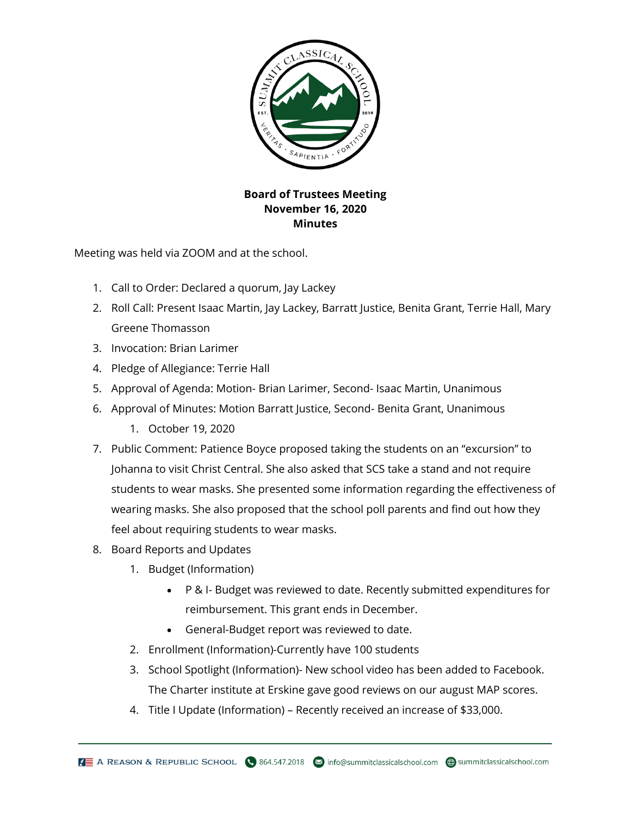

## **Board of Trustees Meeting November 16, 2020 Minutes**

Meeting was held via ZOOM and at the school.

- 1. Call to Order: Declared a quorum, Jay Lackey
- 2. Roll Call: Present Isaac Martin, Jay Lackey, Barratt Justice, Benita Grant, Terrie Hall, Mary Greene Thomasson
- 3. Invocation: Brian Larimer
- 4. Pledge of Allegiance: Terrie Hall
- 5. Approval of Agenda: Motion- Brian Larimer, Second- Isaac Martin, Unanimous
- 6. Approval of Minutes: Motion Barratt Justice, Second- Benita Grant, Unanimous
	- 1. October 19, 2020
- 7. Public Comment: Patience Boyce proposed taking the students on an "excursion" to Johanna to visit Christ Central. She also asked that SCS take a stand and not require students to wear masks. She presented some information regarding the effectiveness of wearing masks. She also proposed that the school poll parents and find out how they feel about requiring students to wear masks.
- 8. Board Reports and Updates
	- 1. Budget (Information)
		- P & I- Budget was reviewed to date. Recently submitted expenditures for reimbursement. This grant ends in December.
		- General-Budget report was reviewed to date.
	- 2. Enrollment (Information)-Currently have 100 students
	- 3. School Spotlight (Information)- New school video has been added to Facebook. The Charter institute at Erskine gave good reviews on our august MAP scores.
	- 4. Title I Update (Information) Recently received an increase of \$33,000.